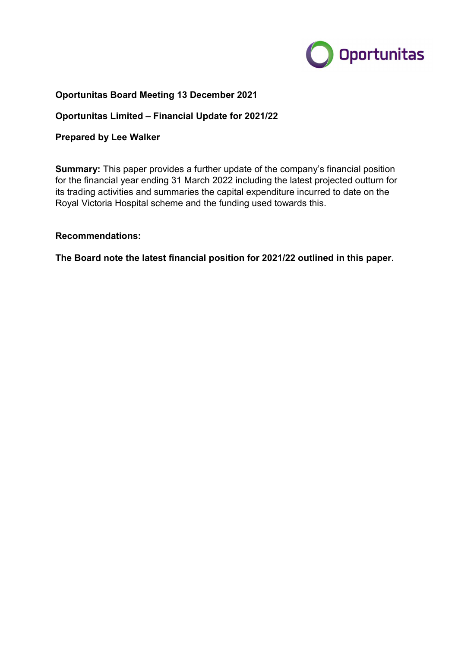

## Oportunitas Board Meeting 13 December 2021

### Oportunitas Limited – Financial Update for 2021/22

#### Prepared by Lee Walker

**Summary:** This paper provides a further update of the company's financial position for the financial year ending 31 March 2022 including the latest projected outturn for its trading activities and summaries the capital expenditure incurred to date on the Royal Victoria Hospital scheme and the funding used towards this.

#### Recommendations:

The Board note the latest financial position for 2021/22 outlined in this paper.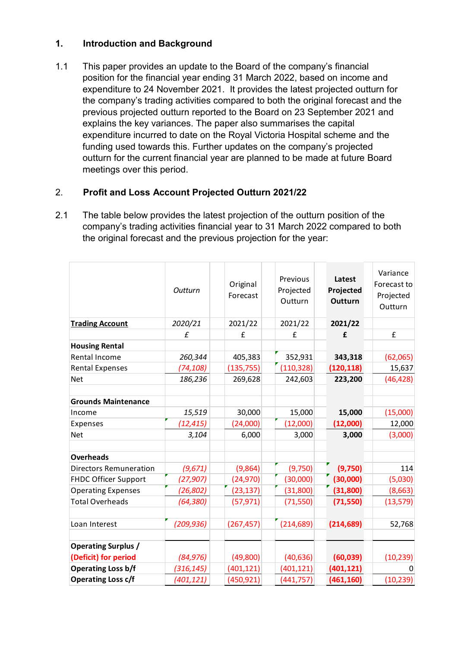# 1. Introduction and Background

1.1 This paper provides an update to the Board of the company's financial position for the financial year ending 31 March 2022, based on income and expenditure to 24 November 2021. It provides the latest projected outturn for the company's trading activities compared to both the original forecast and the previous projected outturn reported to the Board on 23 September 2021 and explains the key variances. The paper also summarises the capital expenditure incurred to date on the Royal Victoria Hospital scheme and the funding used towards this. Further updates on the company's projected outturn for the current financial year are planned to be made at future Board meetings over this period.

# 2. Profit and Loss Account Projected Outturn 2021/22

| <b>Profit and Loss Account Projected Outturn 2021/22</b>                      |           |            |                      |            |             |
|-------------------------------------------------------------------------------|-----------|------------|----------------------|------------|-------------|
|                                                                               |           |            |                      |            |             |
| The table below provides the latest projection of the outturn position of the |           |            |                      |            |             |
| company's trading activities financial year to 31 March 2022 compared to both |           |            |                      |            |             |
| the original forecast and the previous projection for the year:               |           |            |                      |            |             |
|                                                                               |           |            |                      |            |             |
|                                                                               |           |            |                      |            |             |
|                                                                               |           |            | Previous             | Latest     | Variance    |
|                                                                               | Outturn   | Original   |                      | Projected  | Forecast to |
|                                                                               |           | Forecast   | Projected<br>Outturn | Outturn    | Projected   |
|                                                                               |           |            |                      |            | Outturn     |
| <b>Trading Account</b>                                                        | 2020/21   | 2021/22    | 2021/22              | 2021/22    |             |
|                                                                               | £         | £          | £                    | £          | £           |
| <b>Housing Rental</b>                                                         |           |            |                      |            |             |
| Rental Income                                                                 | 260,344   | 405,383    | 352,931              | 343,318    | (62,065)    |
| <b>Rental Expenses</b>                                                        | (74, 108) | (135, 755) | (110, 328)           | (120, 118) | 15,637      |
| <b>Net</b>                                                                    | 186,236   | 269,628    | 242,603              | 223,200    | (46, 428)   |
| <b>Grounds Maintenance</b>                                                    |           |            |                      |            |             |
| Income                                                                        | 15,519    | 30,000     | 15,000               | 15,000     | (15,000)    |
| Expenses                                                                      | (12, 415) | (24,000)   | (12,000)             | (12,000)   | 12,000      |
| <b>Net</b>                                                                    | 3,104     | 6,000      | 3,000                | 3,000      | (3,000)     |
| <b>Overheads</b>                                                              |           |            |                      |            |             |
| <b>Directors Remuneration</b>                                                 | (9,671)   | (9,864)    | (9,750)              | (9,750)    | 114         |
| <b>FHDC Officer Support</b>                                                   | (27,907)  | (24, 970)  | (30,000)             | (30,000)   | (5,030)     |
| <b>Operating Expenses</b>                                                     | (26, 802) | (23, 137)  | (31,800)             | (31, 800)  | (8,663)     |
| <b>Total Overheads</b>                                                        | (64, 380) | (57, 971)  | (71, 550)            | (71, 550)  | (13, 579)   |
| Loan Interest                                                                 | (209,936) | (267, 457) | (214, 689)           | (214, 689) | 52,768      |
| <b>Operating Surplus /</b>                                                    |           |            |                      |            |             |
| (Deficit) for period                                                          | (84, 976) | (49,800)   | (40, 636)            | (60, 039)  | (10, 239)   |
| <b>Operating Loss b/f</b>                                                     | (316,145) | (401, 121) | (401, 121)           | (401, 121) | 0           |
| <b>Operating Loss c/f</b>                                                     | (401,121) | (450, 921) | (441, 757)           | (461, 160) | (10, 239)   |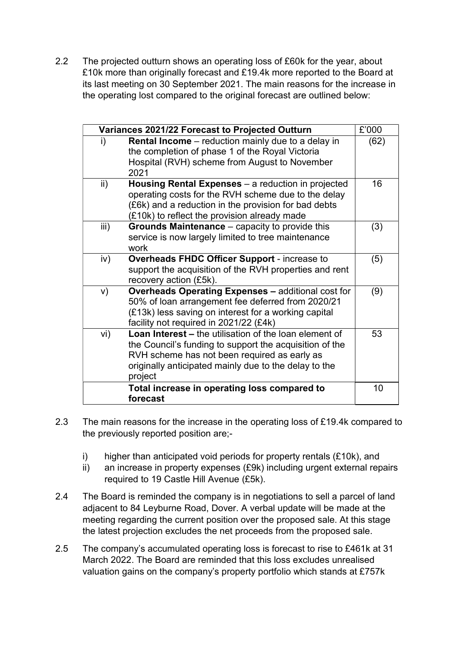2.2 The projected outturn shows an operating loss of £60k for the year, about £10k more than originally forecast and £19.4k more reported to the Board at its last meeting on 30 September 2021. The main reasons for the increase in the operating lost compared to the original forecast are outlined below:

| £'000<br>Variances 2021/22 Forecast to Projected Outturn |                                                                                                                                                                                                                                              |      |  |  |
|----------------------------------------------------------|----------------------------------------------------------------------------------------------------------------------------------------------------------------------------------------------------------------------------------------------|------|--|--|
| i)                                                       | <b>Rental Income</b> – reduction mainly due to a delay in<br>the completion of phase 1 of the Royal Victoria<br>Hospital (RVH) scheme from August to November<br>2021                                                                        | (62) |  |  |
| $\mathsf{ii}$                                            | Housing Rental Expenses – a reduction in projected<br>operating costs for the RVH scheme due to the delay<br>(£6k) and a reduction in the provision for bad debts<br>(£10k) to reflect the provision already made                            | 16   |  |  |
| iii)                                                     | <b>Grounds Maintenance</b> – capacity to provide this<br>service is now largely limited to tree maintenance<br>work                                                                                                                          | (3)  |  |  |
| iv)                                                      | Overheads FHDC Officer Support - increase to<br>support the acquisition of the RVH properties and rent<br>recovery action (£5k).                                                                                                             | (5)  |  |  |
| V)                                                       | <b>Overheads Operating Expenses - additional cost for</b><br>50% of loan arrangement fee deferred from 2020/21<br>(£13k) less saving on interest for a working capital<br>facility not required in 2021/22 (£4k)                             | (9)  |  |  |
| vi)                                                      | <b>Loan Interest – the utilisation of the loan element of</b><br>the Council's funding to support the acquisition of the<br>RVH scheme has not been required as early as<br>originally anticipated mainly due to the delay to the<br>project | 53   |  |  |
|                                                          | Total increase in operating loss compared to<br>forecast                                                                                                                                                                                     | 10   |  |  |

- 2.3 The main reasons for the increase in the operating loss of £19.4k compared to the previously reported position are;
	- i) higher than anticipated void periods for property rentals (£10k), and
	- ii) an increase in property expenses (£9k) including urgent external repairs required to 19 Castle Hill Avenue (£5k).
- 2.4 The Board is reminded the company is in negotiations to sell a parcel of land adjacent to 84 Leyburne Road, Dover. A verbal update will be made at the meeting regarding the current position over the proposed sale. At this stage the latest projection excludes the net proceeds from the proposed sale.
- 2.5 The company's accumulated operating loss is forecast to rise to £461k at 31 March 2022. The Board are reminded that this loss excludes unrealised valuation gains on the company's property portfolio which stands at £757k